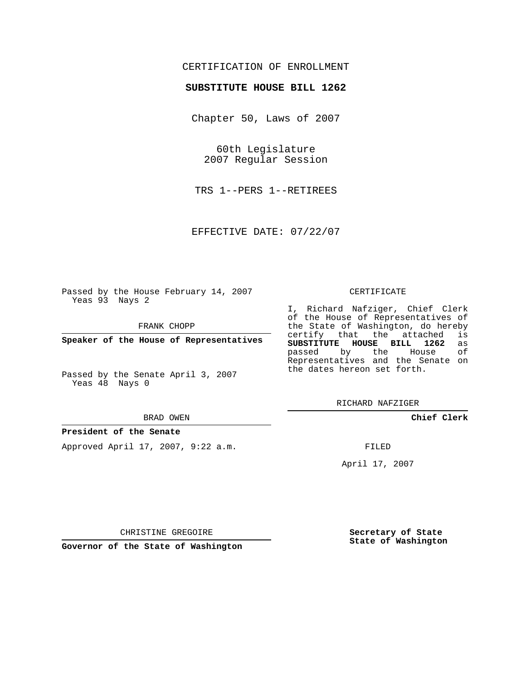## CERTIFICATION OF ENROLLMENT

### **SUBSTITUTE HOUSE BILL 1262**

Chapter 50, Laws of 2007

60th Legislature 2007 Regular Session

TRS 1--PERS 1--RETIREES

EFFECTIVE DATE: 07/22/07

Passed by the House February 14, 2007 Yeas 93 Nays 2

FRANK CHOPP

**Speaker of the House of Representatives**

Passed by the Senate April 3, 2007 Yeas 48 Nays 0

#### BRAD OWEN

## **President of the Senate**

Approved April 17, 2007, 9:22 a.m.

#### CERTIFICATE

I, Richard Nafziger, Chief Clerk of the House of Representatives of the State of Washington, do hereby<br>certify that the attached is certify that the attached **SUBSTITUTE HOUSE BILL 1262** as passed by the Representatives and the Senate on the dates hereon set forth.

RICHARD NAFZIGER

**Chief Clerk**

FILED

April 17, 2007

CHRISTINE GREGOIRE

**Governor of the State of Washington**

**Secretary of State State of Washington**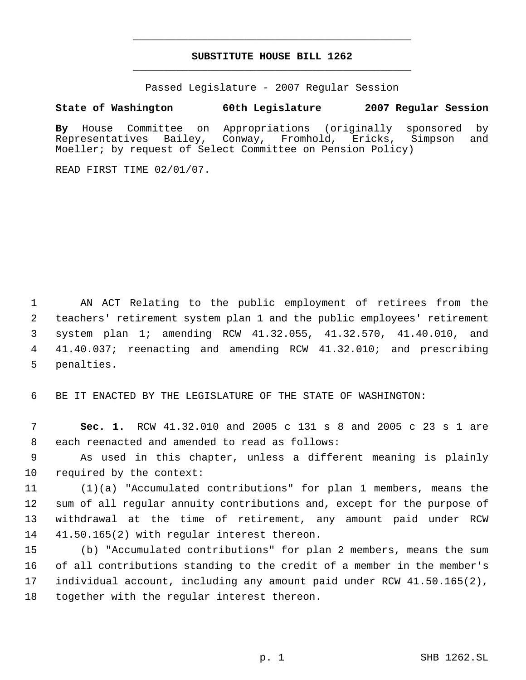# **SUBSTITUTE HOUSE BILL 1262** \_\_\_\_\_\_\_\_\_\_\_\_\_\_\_\_\_\_\_\_\_\_\_\_\_\_\_\_\_\_\_\_\_\_\_\_\_\_\_\_\_\_\_\_\_

\_\_\_\_\_\_\_\_\_\_\_\_\_\_\_\_\_\_\_\_\_\_\_\_\_\_\_\_\_\_\_\_\_\_\_\_\_\_\_\_\_\_\_\_\_

Passed Legislature - 2007 Regular Session

### **State of Washington 60th Legislature 2007 Regular Session**

**By** House Committee on Appropriations (originally sponsored by Representatives Bailey, Conway, Fromhold, Ericks, Simpson and Moeller; by request of Select Committee on Pension Policy)

READ FIRST TIME 02/01/07.

 AN ACT Relating to the public employment of retirees from the teachers' retirement system plan 1 and the public employees' retirement system plan 1; amending RCW 41.32.055, 41.32.570, 41.40.010, and 41.40.037; reenacting and amending RCW 41.32.010; and prescribing penalties.

BE IT ENACTED BY THE LEGISLATURE OF THE STATE OF WASHINGTON:

 **Sec. 1.** RCW 41.32.010 and 2005 c 131 s 8 and 2005 c 23 s 1 are each reenacted and amended to read as follows:

 As used in this chapter, unless a different meaning is plainly required by the context:

 (1)(a) "Accumulated contributions" for plan 1 members, means the sum of all regular annuity contributions and, except for the purpose of withdrawal at the time of retirement, any amount paid under RCW 41.50.165(2) with regular interest thereon.

 (b) "Accumulated contributions" for plan 2 members, means the sum of all contributions standing to the credit of a member in the member's individual account, including any amount paid under RCW 41.50.165(2), together with the regular interest thereon.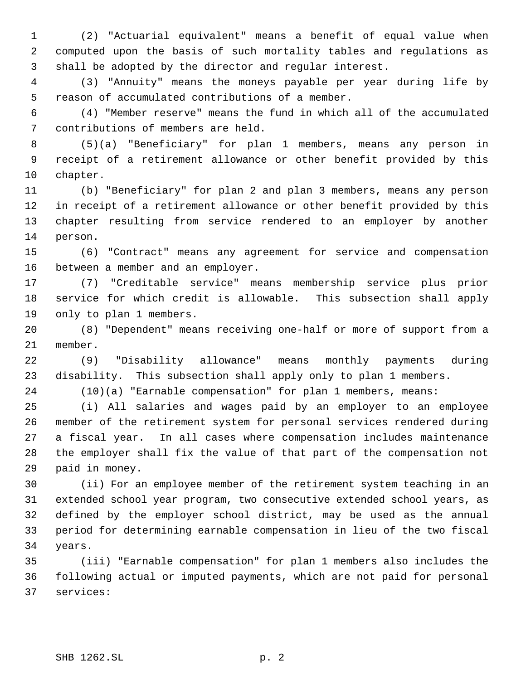(2) "Actuarial equivalent" means a benefit of equal value when computed upon the basis of such mortality tables and regulations as shall be adopted by the director and regular interest.

 (3) "Annuity" means the moneys payable per year during life by reason of accumulated contributions of a member.

 (4) "Member reserve" means the fund in which all of the accumulated contributions of members are held.

 (5)(a) "Beneficiary" for plan 1 members, means any person in receipt of a retirement allowance or other benefit provided by this chapter.

 (b) "Beneficiary" for plan 2 and plan 3 members, means any person in receipt of a retirement allowance or other benefit provided by this chapter resulting from service rendered to an employer by another person.

 (6) "Contract" means any agreement for service and compensation between a member and an employer.

 (7) "Creditable service" means membership service plus prior service for which credit is allowable. This subsection shall apply only to plan 1 members.

 (8) "Dependent" means receiving one-half or more of support from a member.

 (9) "Disability allowance" means monthly payments during disability. This subsection shall apply only to plan 1 members.

(10)(a) "Earnable compensation" for plan 1 members, means:

 (i) All salaries and wages paid by an employer to an employee member of the retirement system for personal services rendered during a fiscal year. In all cases where compensation includes maintenance the employer shall fix the value of that part of the compensation not paid in money.

 (ii) For an employee member of the retirement system teaching in an extended school year program, two consecutive extended school years, as defined by the employer school district, may be used as the annual period for determining earnable compensation in lieu of the two fiscal years.

 (iii) "Earnable compensation" for plan 1 members also includes the following actual or imputed payments, which are not paid for personal services: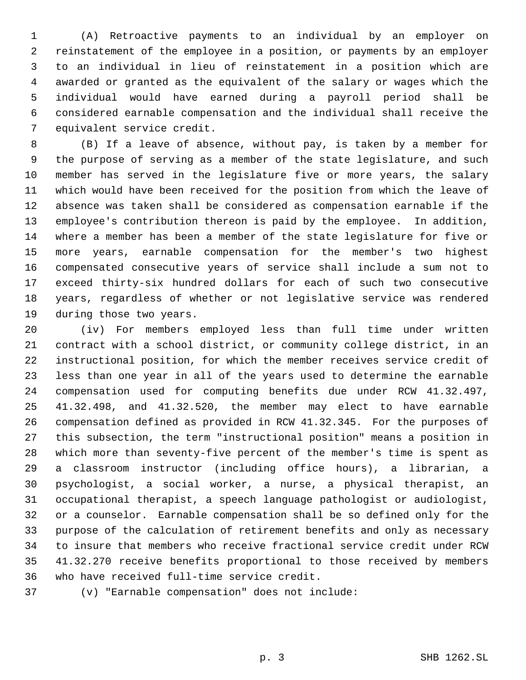(A) Retroactive payments to an individual by an employer on reinstatement of the employee in a position, or payments by an employer to an individual in lieu of reinstatement in a position which are awarded or granted as the equivalent of the salary or wages which the individual would have earned during a payroll period shall be considered earnable compensation and the individual shall receive the equivalent service credit.

 (B) If a leave of absence, without pay, is taken by a member for the purpose of serving as a member of the state legislature, and such member has served in the legislature five or more years, the salary which would have been received for the position from which the leave of absence was taken shall be considered as compensation earnable if the employee's contribution thereon is paid by the employee. In addition, where a member has been a member of the state legislature for five or more years, earnable compensation for the member's two highest compensated consecutive years of service shall include a sum not to exceed thirty-six hundred dollars for each of such two consecutive years, regardless of whether or not legislative service was rendered during those two years.

 (iv) For members employed less than full time under written contract with a school district, or community college district, in an instructional position, for which the member receives service credit of less than one year in all of the years used to determine the earnable compensation used for computing benefits due under RCW 41.32.497, 41.32.498, and 41.32.520, the member may elect to have earnable compensation defined as provided in RCW 41.32.345. For the purposes of this subsection, the term "instructional position" means a position in which more than seventy-five percent of the member's time is spent as a classroom instructor (including office hours), a librarian, a psychologist, a social worker, a nurse, a physical therapist, an occupational therapist, a speech language pathologist or audiologist, or a counselor. Earnable compensation shall be so defined only for the purpose of the calculation of retirement benefits and only as necessary to insure that members who receive fractional service credit under RCW 41.32.270 receive benefits proportional to those received by members who have received full-time service credit.

(v) "Earnable compensation" does not include: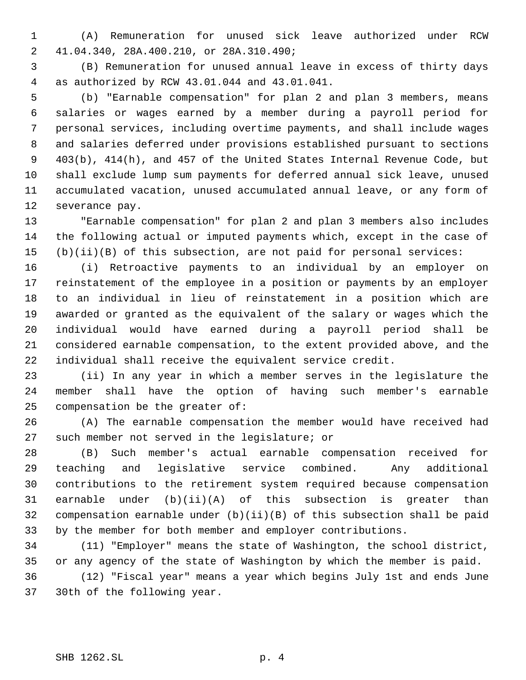(A) Remuneration for unused sick leave authorized under RCW 41.04.340, 28A.400.210, or 28A.310.490;

 (B) Remuneration for unused annual leave in excess of thirty days as authorized by RCW 43.01.044 and 43.01.041.

 (b) "Earnable compensation" for plan 2 and plan 3 members, means salaries or wages earned by a member during a payroll period for personal services, including overtime payments, and shall include wages and salaries deferred under provisions established pursuant to sections 403(b), 414(h), and 457 of the United States Internal Revenue Code, but shall exclude lump sum payments for deferred annual sick leave, unused accumulated vacation, unused accumulated annual leave, or any form of severance pay.

 "Earnable compensation" for plan 2 and plan 3 members also includes the following actual or imputed payments which, except in the case of (b)(ii)(B) of this subsection, are not paid for personal services:

 (i) Retroactive payments to an individual by an employer on reinstatement of the employee in a position or payments by an employer to an individual in lieu of reinstatement in a position which are awarded or granted as the equivalent of the salary or wages which the individual would have earned during a payroll period shall be considered earnable compensation, to the extent provided above, and the individual shall receive the equivalent service credit.

 (ii) In any year in which a member serves in the legislature the member shall have the option of having such member's earnable compensation be the greater of:

 (A) The earnable compensation the member would have received had such member not served in the legislature; or

 (B) Such member's actual earnable compensation received for teaching and legislative service combined. Any additional contributions to the retirement system required because compensation earnable under (b)(ii)(A) of this subsection is greater than compensation earnable under (b)(ii)(B) of this subsection shall be paid by the member for both member and employer contributions.

 (11) "Employer" means the state of Washington, the school district, or any agency of the state of Washington by which the member is paid. (12) "Fiscal year" means a year which begins July 1st and ends June 30th of the following year.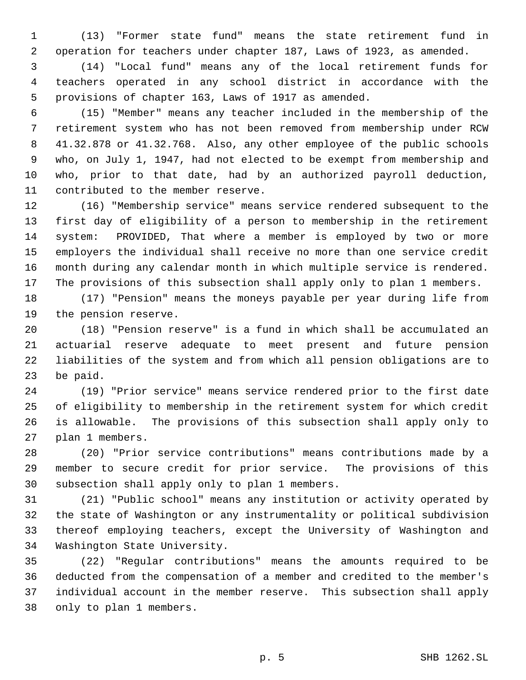(13) "Former state fund" means the state retirement fund in operation for teachers under chapter 187, Laws of 1923, as amended.

 (14) "Local fund" means any of the local retirement funds for teachers operated in any school district in accordance with the provisions of chapter 163, Laws of 1917 as amended.

 (15) "Member" means any teacher included in the membership of the retirement system who has not been removed from membership under RCW 41.32.878 or 41.32.768. Also, any other employee of the public schools who, on July 1, 1947, had not elected to be exempt from membership and who, prior to that date, had by an authorized payroll deduction, contributed to the member reserve.

 (16) "Membership service" means service rendered subsequent to the first day of eligibility of a person to membership in the retirement system: PROVIDED, That where a member is employed by two or more employers the individual shall receive no more than one service credit month during any calendar month in which multiple service is rendered. The provisions of this subsection shall apply only to plan 1 members.

 (17) "Pension" means the moneys payable per year during life from the pension reserve.

 (18) "Pension reserve" is a fund in which shall be accumulated an actuarial reserve adequate to meet present and future pension liabilities of the system and from which all pension obligations are to be paid.

 (19) "Prior service" means service rendered prior to the first date of eligibility to membership in the retirement system for which credit is allowable. The provisions of this subsection shall apply only to plan 1 members.

 (20) "Prior service contributions" means contributions made by a member to secure credit for prior service. The provisions of this subsection shall apply only to plan 1 members.

 (21) "Public school" means any institution or activity operated by the state of Washington or any instrumentality or political subdivision thereof employing teachers, except the University of Washington and Washington State University.

 (22) "Regular contributions" means the amounts required to be deducted from the compensation of a member and credited to the member's individual account in the member reserve. This subsection shall apply only to plan 1 members.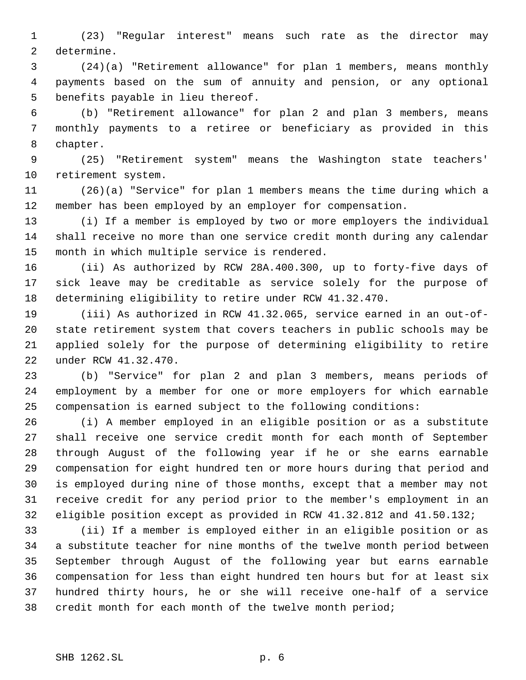(23) "Regular interest" means such rate as the director may determine.

 (24)(a) "Retirement allowance" for plan 1 members, means monthly payments based on the sum of annuity and pension, or any optional benefits payable in lieu thereof.

 (b) "Retirement allowance" for plan 2 and plan 3 members, means monthly payments to a retiree or beneficiary as provided in this chapter.

 (25) "Retirement system" means the Washington state teachers' retirement system.

 (26)(a) "Service" for plan 1 members means the time during which a member has been employed by an employer for compensation.

 (i) If a member is employed by two or more employers the individual shall receive no more than one service credit month during any calendar month in which multiple service is rendered.

 (ii) As authorized by RCW 28A.400.300, up to forty-five days of sick leave may be creditable as service solely for the purpose of determining eligibility to retire under RCW 41.32.470.

 (iii) As authorized in RCW 41.32.065, service earned in an out-of- state retirement system that covers teachers in public schools may be applied solely for the purpose of determining eligibility to retire under RCW 41.32.470.

 (b) "Service" for plan 2 and plan 3 members, means periods of employment by a member for one or more employers for which earnable compensation is earned subject to the following conditions:

 (i) A member employed in an eligible position or as a substitute shall receive one service credit month for each month of September through August of the following year if he or she earns earnable compensation for eight hundred ten or more hours during that period and is employed during nine of those months, except that a member may not receive credit for any period prior to the member's employment in an eligible position except as provided in RCW 41.32.812 and 41.50.132;

 (ii) If a member is employed either in an eligible position or as a substitute teacher for nine months of the twelve month period between September through August of the following year but earns earnable compensation for less than eight hundred ten hours but for at least six hundred thirty hours, he or she will receive one-half of a service credit month for each month of the twelve month period;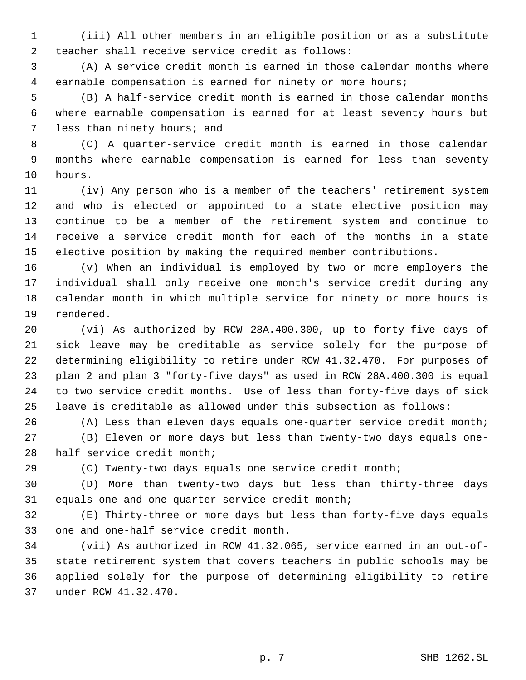(iii) All other members in an eligible position or as a substitute teacher shall receive service credit as follows:

 (A) A service credit month is earned in those calendar months where earnable compensation is earned for ninety or more hours;

 (B) A half-service credit month is earned in those calendar months where earnable compensation is earned for at least seventy hours but less than ninety hours; and

 (C) A quarter-service credit month is earned in those calendar months where earnable compensation is earned for less than seventy hours.

 (iv) Any person who is a member of the teachers' retirement system and who is elected or appointed to a state elective position may continue to be a member of the retirement system and continue to receive a service credit month for each of the months in a state elective position by making the required member contributions.

 (v) When an individual is employed by two or more employers the individual shall only receive one month's service credit during any calendar month in which multiple service for ninety or more hours is rendered.

 (vi) As authorized by RCW 28A.400.300, up to forty-five days of sick leave may be creditable as service solely for the purpose of determining eligibility to retire under RCW 41.32.470. For purposes of plan 2 and plan 3 "forty-five days" as used in RCW 28A.400.300 is equal to two service credit months. Use of less than forty-five days of sick leave is creditable as allowed under this subsection as follows:

(A) Less than eleven days equals one-quarter service credit month;

 (B) Eleven or more days but less than twenty-two days equals one-half service credit month;

(C) Twenty-two days equals one service credit month;

 (D) More than twenty-two days but less than thirty-three days equals one and one-quarter service credit month;

 (E) Thirty-three or more days but less than forty-five days equals one and one-half service credit month.

 (vii) As authorized in RCW 41.32.065, service earned in an out-of- state retirement system that covers teachers in public schools may be applied solely for the purpose of determining eligibility to retire under RCW 41.32.470.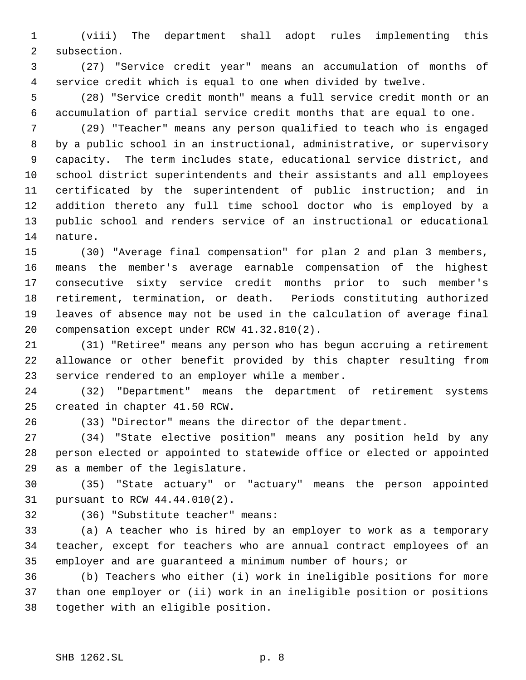(viii) The department shall adopt rules implementing this subsection.

 (27) "Service credit year" means an accumulation of months of service credit which is equal to one when divided by twelve.

 (28) "Service credit month" means a full service credit month or an accumulation of partial service credit months that are equal to one.

 (29) "Teacher" means any person qualified to teach who is engaged by a public school in an instructional, administrative, or supervisory capacity. The term includes state, educational service district, and school district superintendents and their assistants and all employees certificated by the superintendent of public instruction; and in addition thereto any full time school doctor who is employed by a public school and renders service of an instructional or educational nature.

 (30) "Average final compensation" for plan 2 and plan 3 members, means the member's average earnable compensation of the highest consecutive sixty service credit months prior to such member's retirement, termination, or death. Periods constituting authorized leaves of absence may not be used in the calculation of average final compensation except under RCW 41.32.810(2).

 (31) "Retiree" means any person who has begun accruing a retirement allowance or other benefit provided by this chapter resulting from service rendered to an employer while a member.

 (32) "Department" means the department of retirement systems created in chapter 41.50 RCW.

(33) "Director" means the director of the department.

 (34) "State elective position" means any position held by any person elected or appointed to statewide office or elected or appointed as a member of the legislature.

 (35) "State actuary" or "actuary" means the person appointed pursuant to RCW 44.44.010(2).

(36) "Substitute teacher" means:

 (a) A teacher who is hired by an employer to work as a temporary teacher, except for teachers who are annual contract employees of an employer and are guaranteed a minimum number of hours; or

 (b) Teachers who either (i) work in ineligible positions for more than one employer or (ii) work in an ineligible position or positions together with an eligible position.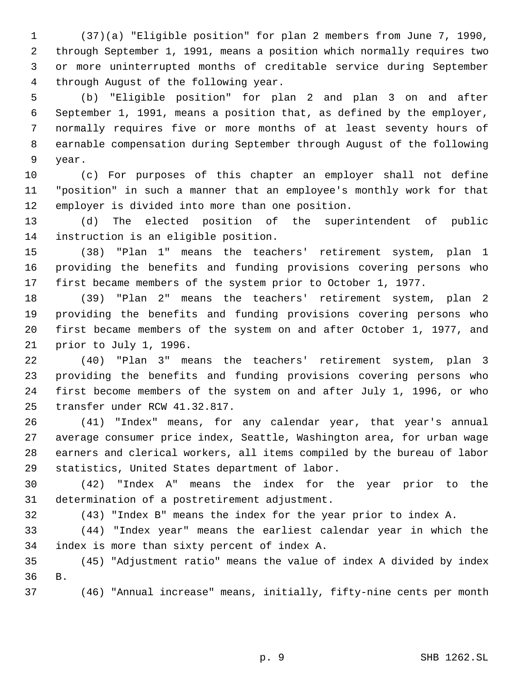(37)(a) "Eligible position" for plan 2 members from June 7, 1990, through September 1, 1991, means a position which normally requires two or more uninterrupted months of creditable service during September through August of the following year.

 (b) "Eligible position" for plan 2 and plan 3 on and after September 1, 1991, means a position that, as defined by the employer, normally requires five or more months of at least seventy hours of earnable compensation during September through August of the following year.

 (c) For purposes of this chapter an employer shall not define "position" in such a manner that an employee's monthly work for that employer is divided into more than one position.

 (d) The elected position of the superintendent of public instruction is an eligible position.

 (38) "Plan 1" means the teachers' retirement system, plan 1 providing the benefits and funding provisions covering persons who first became members of the system prior to October 1, 1977.

 (39) "Plan 2" means the teachers' retirement system, plan 2 providing the benefits and funding provisions covering persons who first became members of the system on and after October 1, 1977, and prior to July 1, 1996.

 (40) "Plan 3" means the teachers' retirement system, plan 3 providing the benefits and funding provisions covering persons who first become members of the system on and after July 1, 1996, or who transfer under RCW 41.32.817.

 (41) "Index" means, for any calendar year, that year's annual average consumer price index, Seattle, Washington area, for urban wage earners and clerical workers, all items compiled by the bureau of labor statistics, United States department of labor.

 (42) "Index A" means the index for the year prior to the determination of a postretirement adjustment.

(43) "Index B" means the index for the year prior to index A.

 (44) "Index year" means the earliest calendar year in which the index is more than sixty percent of index A.

 (45) "Adjustment ratio" means the value of index A divided by index B.

(46) "Annual increase" means, initially, fifty-nine cents per month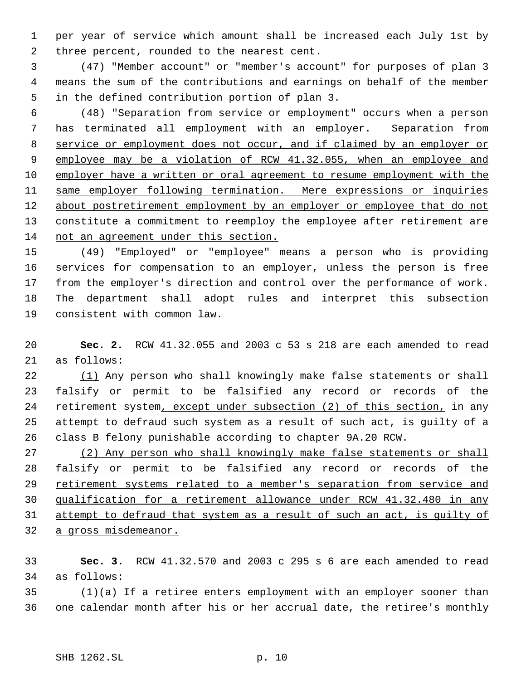per year of service which amount shall be increased each July 1st by three percent, rounded to the nearest cent.

 (47) "Member account" or "member's account" for purposes of plan 3 means the sum of the contributions and earnings on behalf of the member in the defined contribution portion of plan 3.

 (48) "Separation from service or employment" occurs when a person 7 has terminated all employment with an employer. Separation from service or employment does not occur, and if claimed by an employer or employee may be a violation of RCW 41.32.055, when an employee and employer have a written or oral agreement to resume employment with the 11 same employer following termination. Mere expressions or inquiries 12 about postretirement employment by an employer or employee that do not 13 constitute a commitment to reemploy the employee after retirement are not an agreement under this section.

 (49) "Employed" or "employee" means a person who is providing services for compensation to an employer, unless the person is free from the employer's direction and control over the performance of work. The department shall adopt rules and interpret this subsection consistent with common law.

 **Sec. 2.** RCW 41.32.055 and 2003 c 53 s 218 are each amended to read as follows:

22 (1) Any person who shall knowingly make false statements or shall falsify or permit to be falsified any record or records of the 24 retirement system, except under subsection (2) of this section, in any attempt to defraud such system as a result of such act, is guilty of a class B felony punishable according to chapter 9A.20 RCW.

 (2) Any person who shall knowingly make false statements or shall falsify or permit to be falsified any record or records of the 29 retirement systems related to a member's separation from service and qualification for a retirement allowance under RCW 41.32.480 in any attempt to defraud that system as a result of such an act, is guilty of a gross misdemeanor.

 **Sec. 3.** RCW 41.32.570 and 2003 c 295 s 6 are each amended to read as follows:

 (1)(a) If a retiree enters employment with an employer sooner than one calendar month after his or her accrual date, the retiree's monthly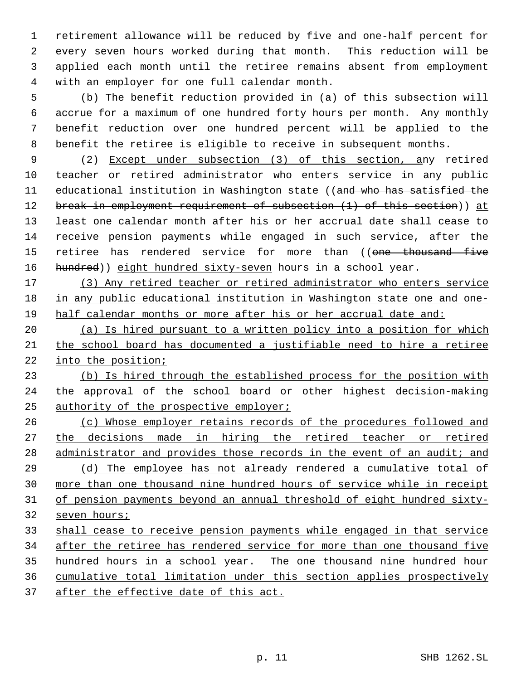retirement allowance will be reduced by five and one-half percent for every seven hours worked during that month. This reduction will be applied each month until the retiree remains absent from employment with an employer for one full calendar month.

 (b) The benefit reduction provided in (a) of this subsection will accrue for a maximum of one hundred forty hours per month. Any monthly benefit reduction over one hundred percent will be applied to the benefit the retiree is eligible to receive in subsequent months.

 (2) Except under subsection (3) of this section, any retired teacher or retired administrator who enters service in any public 11 educational institution in Washington state ((and who has satisfied the 12 break in employment requirement of subsection (1) of this section)) at 13 least one calendar month after his or her accrual date shall cease to receive pension payments while engaged in such service, after the 15 retiree has rendered service for more than ((one thousand five 16 hundred)) eight hundred sixty-seven hours in a school year.

17 (3) Any retired teacher or retired administrator who enters service in any public educational institution in Washington state one and one-half calendar months or more after his or her accrual date and:

 (a) Is hired pursuant to a written policy into a position for which the school board has documented a justifiable need to hire a retiree into the position;

 (b) Is hired through the established process for the position with the approval of the school board or other highest decision-making 25 authority of the prospective employer;

 (c) Whose employer retains records of the procedures followed and 27 the decisions made in hiring the retired teacher or retired 28 administrator and provides those records in the event of an audit; and (d) The employee has not already rendered a cumulative total of more than one thousand nine hundred hours of service while in receipt of pension payments beyond an annual threshold of eight hundred sixty- seven hours; shall cease to receive pension payments while engaged in that service

 after the retiree has rendered service for more than one thousand five hundred hours in a school year. The one thousand nine hundred hour

cumulative total limitation under this section applies prospectively

37 after the effective date of this act.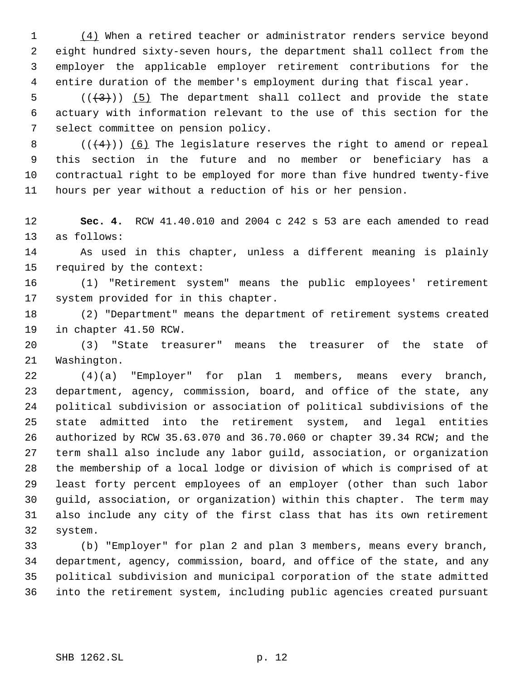1 (4) When a retired teacher or administrator renders service beyond eight hundred sixty-seven hours, the department shall collect from the employer the applicable employer retirement contributions for the entire duration of the member's employment during that fiscal year.

5  $((+3))$   $(5)$  The department shall collect and provide the state actuary with information relevant to the use of this section for the select committee on pension policy.

8 ( $($  $($  $($  $+$  $4$  $)$ ))  $($  $6)$  The legislature reserves the right to amend or repeal this section in the future and no member or beneficiary has a contractual right to be employed for more than five hundred twenty-five hours per year without a reduction of his or her pension.

 **Sec. 4.** RCW 41.40.010 and 2004 c 242 s 53 are each amended to read as follows:

 As used in this chapter, unless a different meaning is plainly required by the context:

 (1) "Retirement system" means the public employees' retirement system provided for in this chapter.

 (2) "Department" means the department of retirement systems created in chapter 41.50 RCW.

 (3) "State treasurer" means the treasurer of the state of Washington.

 (4)(a) "Employer" for plan 1 members, means every branch, department, agency, commission, board, and office of the state, any political subdivision or association of political subdivisions of the state admitted into the retirement system, and legal entities authorized by RCW 35.63.070 and 36.70.060 or chapter 39.34 RCW; and the term shall also include any labor guild, association, or organization the membership of a local lodge or division of which is comprised of at least forty percent employees of an employer (other than such labor guild, association, or organization) within this chapter. The term may also include any city of the first class that has its own retirement system.

 (b) "Employer" for plan 2 and plan 3 members, means every branch, department, agency, commission, board, and office of the state, and any political subdivision and municipal corporation of the state admitted into the retirement system, including public agencies created pursuant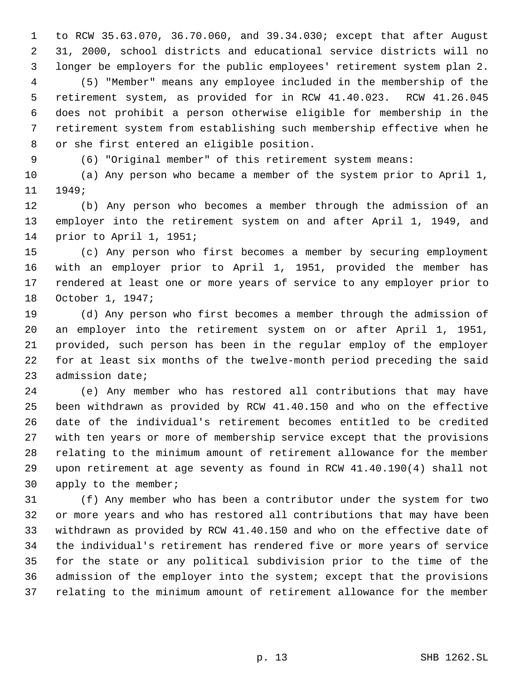to RCW 35.63.070, 36.70.060, and 39.34.030; except that after August 31, 2000, school districts and educational service districts will no longer be employers for the public employees' retirement system plan 2. (5) "Member" means any employee included in the membership of the retirement system, as provided for in RCW 41.40.023. RCW 41.26.045 does not prohibit a person otherwise eligible for membership in the retirement system from establishing such membership effective when he or she first entered an eligible position.

(6) "Original member" of this retirement system means:

 (a) Any person who became a member of the system prior to April 1, 1949;

 (b) Any person who becomes a member through the admission of an employer into the retirement system on and after April 1, 1949, and prior to April 1, 1951;

 (c) Any person who first becomes a member by securing employment with an employer prior to April 1, 1951, provided the member has rendered at least one or more years of service to any employer prior to October 1, 1947;

 (d) Any person who first becomes a member through the admission of an employer into the retirement system on or after April 1, 1951, provided, such person has been in the regular employ of the employer for at least six months of the twelve-month period preceding the said admission date;

 (e) Any member who has restored all contributions that may have been withdrawn as provided by RCW 41.40.150 and who on the effective date of the individual's retirement becomes entitled to be credited with ten years or more of membership service except that the provisions relating to the minimum amount of retirement allowance for the member upon retirement at age seventy as found in RCW 41.40.190(4) shall not 30 apply to the member;

 (f) Any member who has been a contributor under the system for two or more years and who has restored all contributions that may have been withdrawn as provided by RCW 41.40.150 and who on the effective date of the individual's retirement has rendered five or more years of service for the state or any political subdivision prior to the time of the admission of the employer into the system; except that the provisions relating to the minimum amount of retirement allowance for the member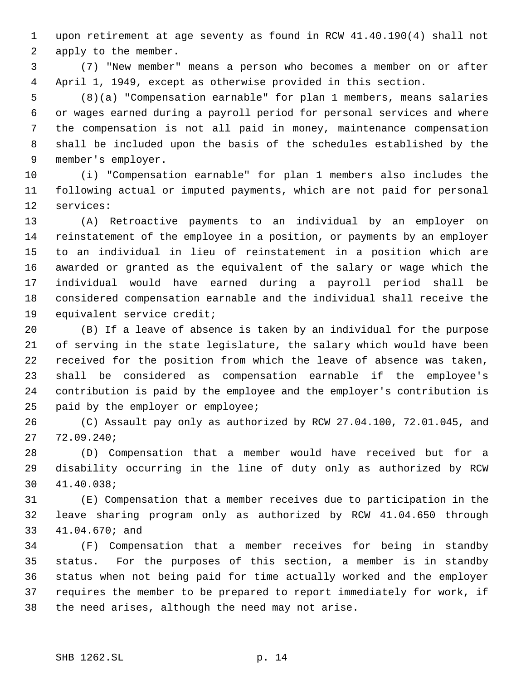upon retirement at age seventy as found in RCW 41.40.190(4) shall not apply to the member.

 (7) "New member" means a person who becomes a member on or after April 1, 1949, except as otherwise provided in this section.

 (8)(a) "Compensation earnable" for plan 1 members, means salaries or wages earned during a payroll period for personal services and where the compensation is not all paid in money, maintenance compensation shall be included upon the basis of the schedules established by the member's employer.

 (i) "Compensation earnable" for plan 1 members also includes the following actual or imputed payments, which are not paid for personal services:

 (A) Retroactive payments to an individual by an employer on reinstatement of the employee in a position, or payments by an employer to an individual in lieu of reinstatement in a position which are awarded or granted as the equivalent of the salary or wage which the individual would have earned during a payroll period shall be considered compensation earnable and the individual shall receive the equivalent service credit;

 (B) If a leave of absence is taken by an individual for the purpose of serving in the state legislature, the salary which would have been received for the position from which the leave of absence was taken, shall be considered as compensation earnable if the employee's contribution is paid by the employee and the employer's contribution is 25 paid by the employer or employee;

 (C) Assault pay only as authorized by RCW 27.04.100, 72.01.045, and 72.09.240;

 (D) Compensation that a member would have received but for a disability occurring in the line of duty only as authorized by RCW 41.40.038;

 (E) Compensation that a member receives due to participation in the leave sharing program only as authorized by RCW 41.04.650 through 41.04.670; and

 (F) Compensation that a member receives for being in standby status. For the purposes of this section, a member is in standby status when not being paid for time actually worked and the employer requires the member to be prepared to report immediately for work, if the need arises, although the need may not arise.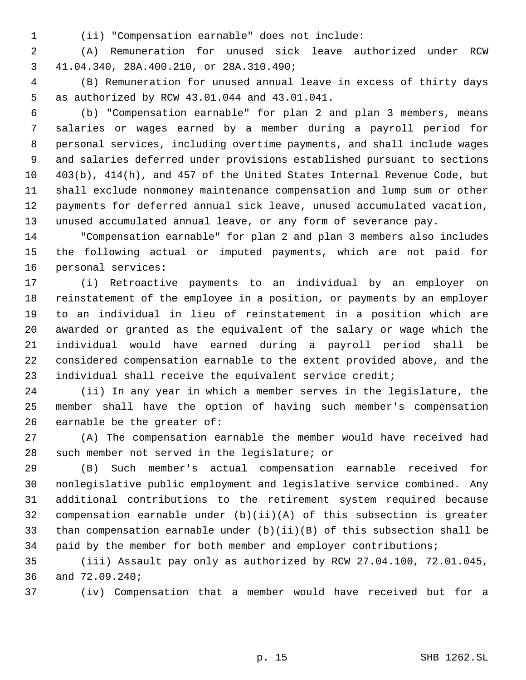- 
- (ii) "Compensation earnable" does not include:

 (A) Remuneration for unused sick leave authorized under RCW 41.04.340, 28A.400.210, or 28A.310.490;

 (B) Remuneration for unused annual leave in excess of thirty days as authorized by RCW 43.01.044 and 43.01.041.

 (b) "Compensation earnable" for plan 2 and plan 3 members, means salaries or wages earned by a member during a payroll period for personal services, including overtime payments, and shall include wages and salaries deferred under provisions established pursuant to sections 403(b), 414(h), and 457 of the United States Internal Revenue Code, but shall exclude nonmoney maintenance compensation and lump sum or other payments for deferred annual sick leave, unused accumulated vacation, unused accumulated annual leave, or any form of severance pay.

 "Compensation earnable" for plan 2 and plan 3 members also includes the following actual or imputed payments, which are not paid for personal services:

 (i) Retroactive payments to an individual by an employer on reinstatement of the employee in a position, or payments by an employer to an individual in lieu of reinstatement in a position which are awarded or granted as the equivalent of the salary or wage which the individual would have earned during a payroll period shall be considered compensation earnable to the extent provided above, and the individual shall receive the equivalent service credit;

 (ii) In any year in which a member serves in the legislature, the member shall have the option of having such member's compensation earnable be the greater of:

 (A) The compensation earnable the member would have received had such member not served in the legislature; or

 (B) Such member's actual compensation earnable received for nonlegislative public employment and legislative service combined. Any additional contributions to the retirement system required because compensation earnable under (b)(ii)(A) of this subsection is greater than compensation earnable under (b)(ii)(B) of this subsection shall be paid by the member for both member and employer contributions;

 (iii) Assault pay only as authorized by RCW 27.04.100, 72.01.045, and 72.09.240;

(iv) Compensation that a member would have received but for a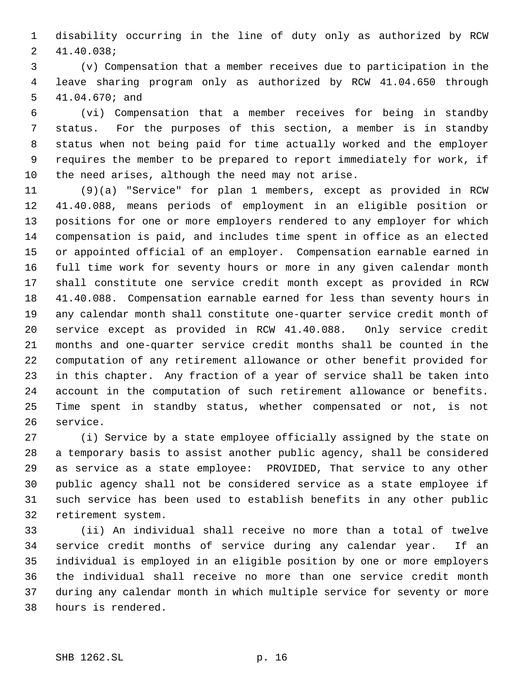disability occurring in the line of duty only as authorized by RCW 41.40.038;

 (v) Compensation that a member receives due to participation in the leave sharing program only as authorized by RCW 41.04.650 through 41.04.670; and

 (vi) Compensation that a member receives for being in standby status. For the purposes of this section, a member is in standby status when not being paid for time actually worked and the employer requires the member to be prepared to report immediately for work, if the need arises, although the need may not arise.

 (9)(a) "Service" for plan 1 members, except as provided in RCW 41.40.088, means periods of employment in an eligible position or positions for one or more employers rendered to any employer for which compensation is paid, and includes time spent in office as an elected or appointed official of an employer. Compensation earnable earned in full time work for seventy hours or more in any given calendar month shall constitute one service credit month except as provided in RCW 41.40.088. Compensation earnable earned for less than seventy hours in any calendar month shall constitute one-quarter service credit month of service except as provided in RCW 41.40.088. Only service credit months and one-quarter service credit months shall be counted in the computation of any retirement allowance or other benefit provided for in this chapter. Any fraction of a year of service shall be taken into account in the computation of such retirement allowance or benefits. Time spent in standby status, whether compensated or not, is not service.

 (i) Service by a state employee officially assigned by the state on a temporary basis to assist another public agency, shall be considered as service as a state employee: PROVIDED, That service to any other public agency shall not be considered service as a state employee if such service has been used to establish benefits in any other public retirement system.

 (ii) An individual shall receive no more than a total of twelve service credit months of service during any calendar year. If an individual is employed in an eligible position by one or more employers the individual shall receive no more than one service credit month during any calendar month in which multiple service for seventy or more hours is rendered.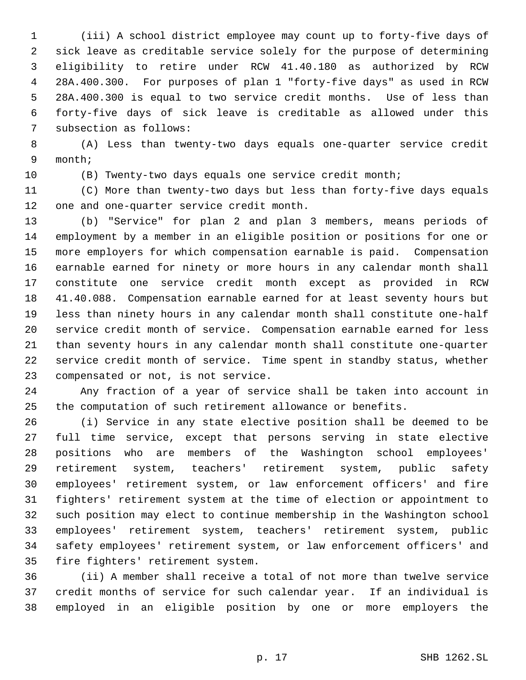(iii) A school district employee may count up to forty-five days of sick leave as creditable service solely for the purpose of determining eligibility to retire under RCW 41.40.180 as authorized by RCW 28A.400.300. For purposes of plan 1 "forty-five days" as used in RCW 28A.400.300 is equal to two service credit months. Use of less than forty-five days of sick leave is creditable as allowed under this subsection as follows:

 (A) Less than twenty-two days equals one-quarter service credit month;

(B) Twenty-two days equals one service credit month;

 (C) More than twenty-two days but less than forty-five days equals one and one-quarter service credit month.

 (b) "Service" for plan 2 and plan 3 members, means periods of employment by a member in an eligible position or positions for one or more employers for which compensation earnable is paid. Compensation earnable earned for ninety or more hours in any calendar month shall constitute one service credit month except as provided in RCW 41.40.088. Compensation earnable earned for at least seventy hours but less than ninety hours in any calendar month shall constitute one-half service credit month of service. Compensation earnable earned for less than seventy hours in any calendar month shall constitute one-quarter service credit month of service. Time spent in standby status, whether compensated or not, is not service.

 Any fraction of a year of service shall be taken into account in the computation of such retirement allowance or benefits.

 (i) Service in any state elective position shall be deemed to be full time service, except that persons serving in state elective positions who are members of the Washington school employees' retirement system, teachers' retirement system, public safety employees' retirement system, or law enforcement officers' and fire fighters' retirement system at the time of election or appointment to such position may elect to continue membership in the Washington school employees' retirement system, teachers' retirement system, public safety employees' retirement system, or law enforcement officers' and fire fighters' retirement system.

 (ii) A member shall receive a total of not more than twelve service credit months of service for such calendar year. If an individual is employed in an eligible position by one or more employers the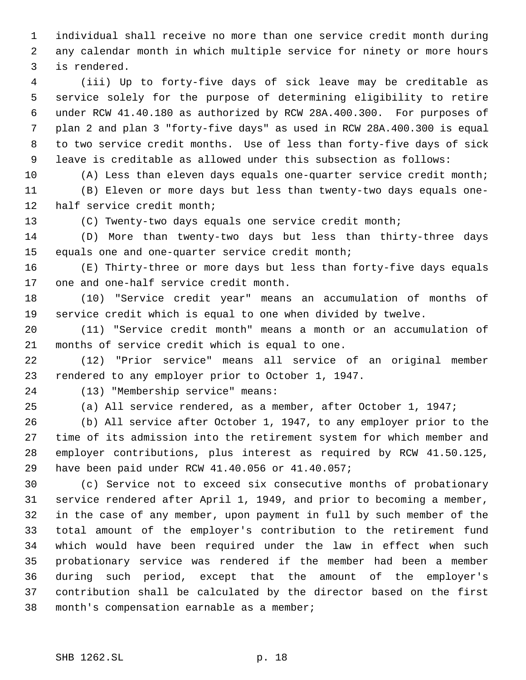individual shall receive no more than one service credit month during any calendar month in which multiple service for ninety or more hours is rendered.

 (iii) Up to forty-five days of sick leave may be creditable as service solely for the purpose of determining eligibility to retire under RCW 41.40.180 as authorized by RCW 28A.400.300. For purposes of plan 2 and plan 3 "forty-five days" as used in RCW 28A.400.300 is equal to two service credit months. Use of less than forty-five days of sick leave is creditable as allowed under this subsection as follows:

 (A) Less than eleven days equals one-quarter service credit month; (B) Eleven or more days but less than twenty-two days equals one-half service credit month;

(C) Twenty-two days equals one service credit month;

 (D) More than twenty-two days but less than thirty-three days equals one and one-quarter service credit month;

 (E) Thirty-three or more days but less than forty-five days equals one and one-half service credit month.

 (10) "Service credit year" means an accumulation of months of service credit which is equal to one when divided by twelve.

 (11) "Service credit month" means a month or an accumulation of months of service credit which is equal to one.

 (12) "Prior service" means all service of an original member rendered to any employer prior to October 1, 1947.

(13) "Membership service" means:

(a) All service rendered, as a member, after October 1, 1947;

 (b) All service after October 1, 1947, to any employer prior to the time of its admission into the retirement system for which member and employer contributions, plus interest as required by RCW 41.50.125, have been paid under RCW 41.40.056 or 41.40.057;

 (c) Service not to exceed six consecutive months of probationary service rendered after April 1, 1949, and prior to becoming a member, in the case of any member, upon payment in full by such member of the total amount of the employer's contribution to the retirement fund which would have been required under the law in effect when such probationary service was rendered if the member had been a member during such period, except that the amount of the employer's contribution shall be calculated by the director based on the first month's compensation earnable as a member;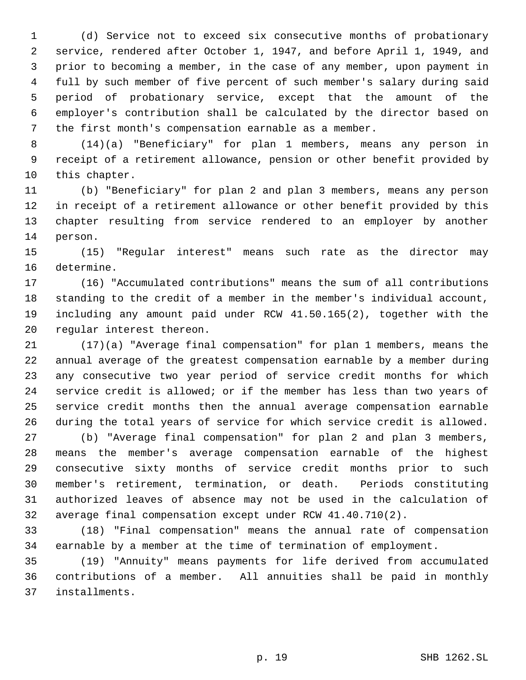(d) Service not to exceed six consecutive months of probationary service, rendered after October 1, 1947, and before April 1, 1949, and prior to becoming a member, in the case of any member, upon payment in full by such member of five percent of such member's salary during said period of probationary service, except that the amount of the employer's contribution shall be calculated by the director based on the first month's compensation earnable as a member.

 (14)(a) "Beneficiary" for plan 1 members, means any person in receipt of a retirement allowance, pension or other benefit provided by this chapter.

 (b) "Beneficiary" for plan 2 and plan 3 members, means any person in receipt of a retirement allowance or other benefit provided by this chapter resulting from service rendered to an employer by another person.

 (15) "Regular interest" means such rate as the director may determine.

 (16) "Accumulated contributions" means the sum of all contributions standing to the credit of a member in the member's individual account, including any amount paid under RCW 41.50.165(2), together with the regular interest thereon.

 (17)(a) "Average final compensation" for plan 1 members, means the annual average of the greatest compensation earnable by a member during any consecutive two year period of service credit months for which service credit is allowed; or if the member has less than two years of service credit months then the annual average compensation earnable during the total years of service for which service credit is allowed.

 (b) "Average final compensation" for plan 2 and plan 3 members, means the member's average compensation earnable of the highest consecutive sixty months of service credit months prior to such member's retirement, termination, or death. Periods constituting authorized leaves of absence may not be used in the calculation of average final compensation except under RCW 41.40.710(2).

 (18) "Final compensation" means the annual rate of compensation earnable by a member at the time of termination of employment.

 (19) "Annuity" means payments for life derived from accumulated contributions of a member. All annuities shall be paid in monthly installments.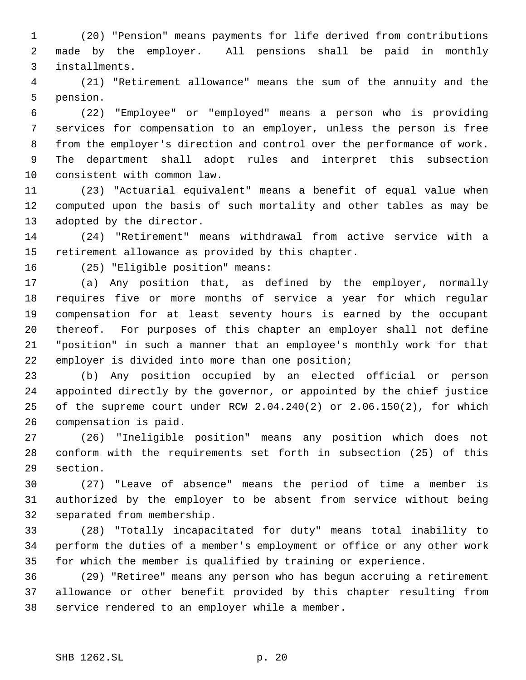(20) "Pension" means payments for life derived from contributions made by the employer. All pensions shall be paid in monthly installments.

 (21) "Retirement allowance" means the sum of the annuity and the pension.

 (22) "Employee" or "employed" means a person who is providing services for compensation to an employer, unless the person is free from the employer's direction and control over the performance of work. The department shall adopt rules and interpret this subsection consistent with common law.

 (23) "Actuarial equivalent" means a benefit of equal value when computed upon the basis of such mortality and other tables as may be adopted by the director.

 (24) "Retirement" means withdrawal from active service with a retirement allowance as provided by this chapter.

(25) "Eligible position" means:

 (a) Any position that, as defined by the employer, normally requires five or more months of service a year for which regular compensation for at least seventy hours is earned by the occupant thereof. For purposes of this chapter an employer shall not define "position" in such a manner that an employee's monthly work for that employer is divided into more than one position;

 (b) Any position occupied by an elected official or person appointed directly by the governor, or appointed by the chief justice of the supreme court under RCW 2.04.240(2) or 2.06.150(2), for which compensation is paid.

 (26) "Ineligible position" means any position which does not conform with the requirements set forth in subsection (25) of this section.

 (27) "Leave of absence" means the period of time a member is authorized by the employer to be absent from service without being separated from membership.

 (28) "Totally incapacitated for duty" means total inability to perform the duties of a member's employment or office or any other work for which the member is qualified by training or experience.

 (29) "Retiree" means any person who has begun accruing a retirement allowance or other benefit provided by this chapter resulting from service rendered to an employer while a member.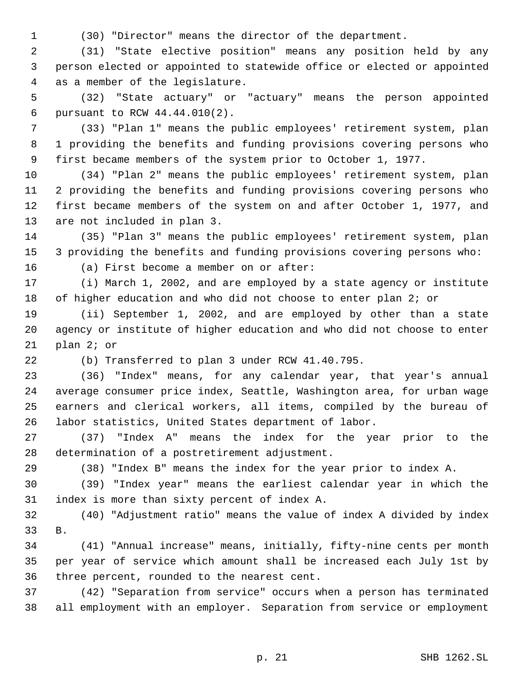(30) "Director" means the director of the department.

 (31) "State elective position" means any position held by any person elected or appointed to statewide office or elected or appointed as a member of the legislature.

 (32) "State actuary" or "actuary" means the person appointed pursuant to RCW 44.44.010(2).

 (33) "Plan 1" means the public employees' retirement system, plan 1 providing the benefits and funding provisions covering persons who first became members of the system prior to October 1, 1977.

 (34) "Plan 2" means the public employees' retirement system, plan 2 providing the benefits and funding provisions covering persons who first became members of the system on and after October 1, 1977, and are not included in plan 3.

 (35) "Plan 3" means the public employees' retirement system, plan 3 providing the benefits and funding provisions covering persons who:

(a) First become a member on or after:

 (i) March 1, 2002, and are employed by a state agency or institute 18 of higher education and who did not choose to enter plan 2; or

 (ii) September 1, 2002, and are employed by other than a state agency or institute of higher education and who did not choose to enter plan 2; or

(b) Transferred to plan 3 under RCW 41.40.795.

 (36) "Index" means, for any calendar year, that year's annual average consumer price index, Seattle, Washington area, for urban wage earners and clerical workers, all items, compiled by the bureau of labor statistics, United States department of labor.

 (37) "Index A" means the index for the year prior to the determination of a postretirement adjustment.

(38) "Index B" means the index for the year prior to index A.

 (39) "Index year" means the earliest calendar year in which the index is more than sixty percent of index A.

 (40) "Adjustment ratio" means the value of index A divided by index B.

 (41) "Annual increase" means, initially, fifty-nine cents per month per year of service which amount shall be increased each July 1st by three percent, rounded to the nearest cent.

 (42) "Separation from service" occurs when a person has terminated all employment with an employer. Separation from service or employment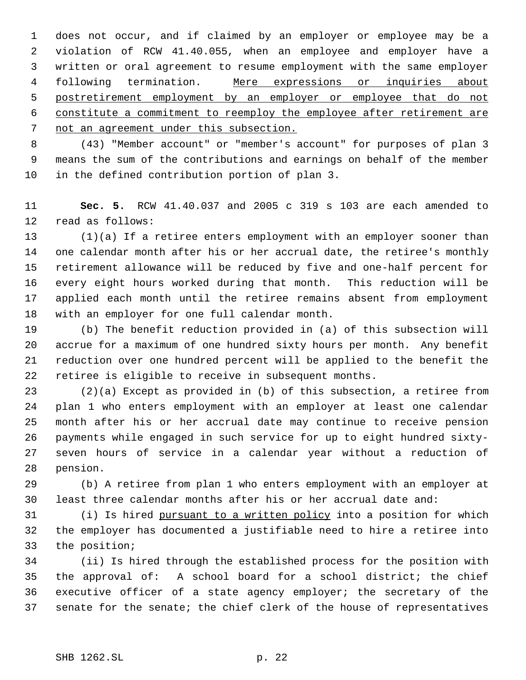does not occur, and if claimed by an employer or employee may be a violation of RCW 41.40.055, when an employee and employer have a written or oral agreement to resume employment with the same employer 4 following termination. Mere expressions or inquiries about postretirement employment by an employer or employee that do not constitute a commitment to reemploy the employee after retirement are not an agreement under this subsection.

 (43) "Member account" or "member's account" for purposes of plan 3 means the sum of the contributions and earnings on behalf of the member in the defined contribution portion of plan 3.

 **Sec. 5.** RCW 41.40.037 and 2005 c 319 s 103 are each amended to read as follows:

 (1)(a) If a retiree enters employment with an employer sooner than one calendar month after his or her accrual date, the retiree's monthly retirement allowance will be reduced by five and one-half percent for every eight hours worked during that month. This reduction will be applied each month until the retiree remains absent from employment with an employer for one full calendar month.

 (b) The benefit reduction provided in (a) of this subsection will accrue for a maximum of one hundred sixty hours per month. Any benefit reduction over one hundred percent will be applied to the benefit the retiree is eligible to receive in subsequent months.

 (2)(a) Except as provided in (b) of this subsection, a retiree from plan 1 who enters employment with an employer at least one calendar month after his or her accrual date may continue to receive pension payments while engaged in such service for up to eight hundred sixty- seven hours of service in a calendar year without a reduction of pension.

 (b) A retiree from plan 1 who enters employment with an employer at least three calendar months after his or her accrual date and:

 (i) Is hired pursuant to a written policy into a position for which the employer has documented a justifiable need to hire a retiree into the position;

 (ii) Is hired through the established process for the position with the approval of: A school board for a school district; the chief executive officer of a state agency employer; the secretary of the senate for the senate; the chief clerk of the house of representatives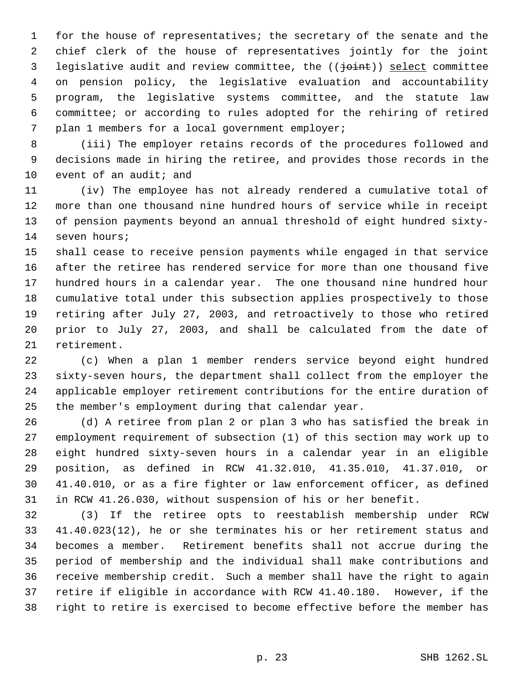for the house of representatives; the secretary of the senate and the chief clerk of the house of representatives jointly for the joint 3 legislative audit and review committee, the (( $\frac{1}{10}$ ) select committee on pension policy, the legislative evaluation and accountability program, the legislative systems committee, and the statute law committee; or according to rules adopted for the rehiring of retired plan 1 members for a local government employer;

 (iii) The employer retains records of the procedures followed and decisions made in hiring the retiree, and provides those records in the 10 event of an audit; and

 (iv) The employee has not already rendered a cumulative total of more than one thousand nine hundred hours of service while in receipt of pension payments beyond an annual threshold of eight hundred sixty-seven hours;

 shall cease to receive pension payments while engaged in that service after the retiree has rendered service for more than one thousand five hundred hours in a calendar year. The one thousand nine hundred hour cumulative total under this subsection applies prospectively to those retiring after July 27, 2003, and retroactively to those who retired prior to July 27, 2003, and shall be calculated from the date of retirement.

 (c) When a plan 1 member renders service beyond eight hundred sixty-seven hours, the department shall collect from the employer the applicable employer retirement contributions for the entire duration of the member's employment during that calendar year.

 (d) A retiree from plan 2 or plan 3 who has satisfied the break in employment requirement of subsection (1) of this section may work up to eight hundred sixty-seven hours in a calendar year in an eligible position, as defined in RCW 41.32.010, 41.35.010, 41.37.010, or 41.40.010, or as a fire fighter or law enforcement officer, as defined in RCW 41.26.030, without suspension of his or her benefit.

 (3) If the retiree opts to reestablish membership under RCW 41.40.023(12), he or she terminates his or her retirement status and becomes a member. Retirement benefits shall not accrue during the period of membership and the individual shall make contributions and receive membership credit. Such a member shall have the right to again retire if eligible in accordance with RCW 41.40.180. However, if the right to retire is exercised to become effective before the member has